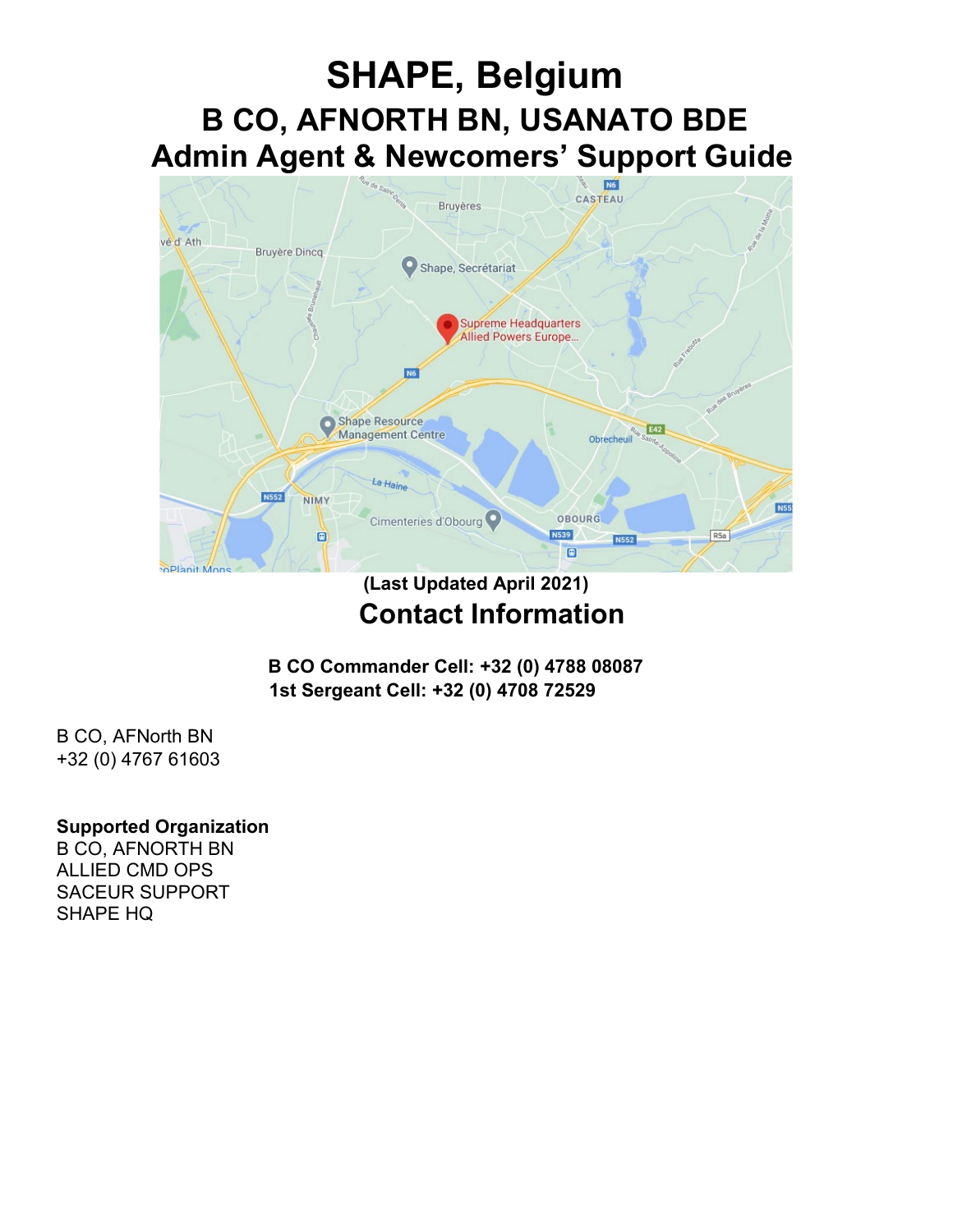# **SHAPE, Belgium B CO, AFNORTH BN, USANATO BDE Admin Agent & Newcomers' Support Guide**



## **(Last Updated April 2021) Contact Information**

**B CO Commander Cell: +32 (0) 4788 08087 1st Sergeant Cell: +32 (0) 4708 72529**

B CO, AFNorth BN +32 (0) 4767 61603

#### **Supported Organization**

B CO, AFNORTH BN ALLIED CMD OPS SACEUR SUPPORT SHAPE HQ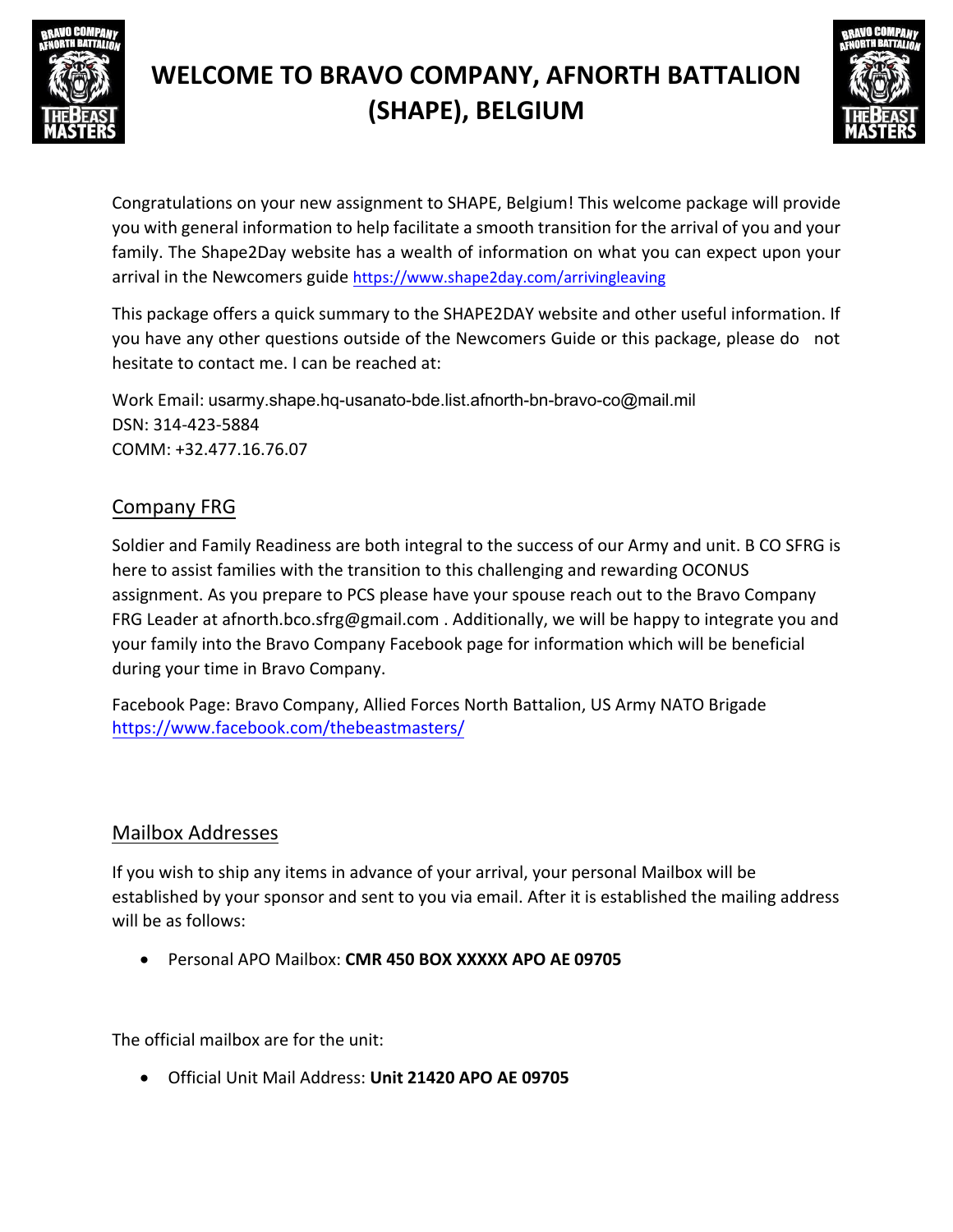



Congratulations on your new assignment to SHAPE, Belgium! This welcome package will provide you with general information to help facilitate a smooth transition for the arrival of you and your family. The Shape2Day website has a wealth of information on what you can expect upon your arrival in the Newcomers guide <https://www.shape2day.com/arrivingleaving>

This package offers a quick summary to the SHAPE2DAY website and other useful information. If you have any other questions outside of the Newcomers Guide or this package, please do not hesitate to contact me. I can be reached at:

Work Email: [usarmy.shape.hq-usanato-bd](mailto:jordan.r.marvin.mil@mail.mil)e.list.afnorth-bn-bravo-co@mail.mil DSN: 314-423-[5884](mailto:marvij28@gmail.com)  COMM: +32.477.16.76.07

## Company FRG

Soldier and Family Readiness are both integral to the success of our Army and unit. B CO SFRG is here to assist families with the transition to this challenging and rewarding OCONUS assignment. As you prepare to PCS please have your spouse reach out to the Bravo Company FRG Leader at [afnorth.bco.sfrg@gmail.com .](mailto:afnorth.bco.sfrg@gmail.com) Additionally, we will be happy to integrate you and your family into the Bravo Company Facebook page for information which will be beneficial during your time in Bravo Company.

Facebook Page: Bravo Company, Allied Forces North Battalion, US Army NATO Brigade https://www.facebook.com/thebeastmasters/

### Mailbox Addresses

If you wish to ship any items in advance of your arrival, your personal Mailbox will be established by your sponsor and sent to you via email. After it is established the mailing address will be as follows:

Personal APO Mailbox: **CMR 450 BOX XXXXX APO AE 09705**

The official mailbox are for the unit:

Official Unit Mail Address: **Unit 21420 APO AE 09705**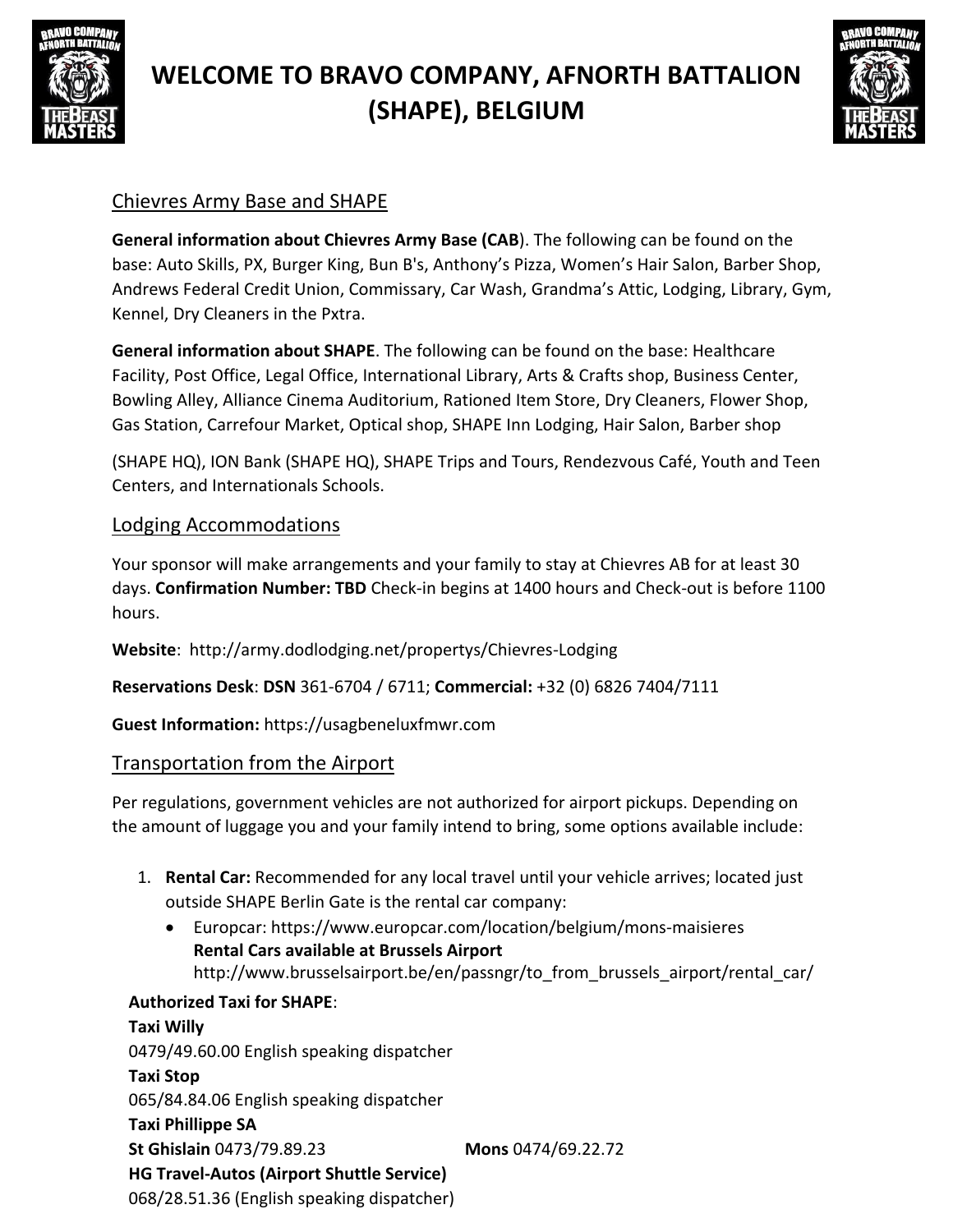



### Chievres Army Base and SHAPE

**General information about Chievres Army Base (CAB**). The following can be found on the base: Auto Skills, PX, Burger King, Bun B's, Anthony's Pizza, Women's Hair Salon, Barber Shop, Andrews Federal Credit Union, Commissary, Car Wash, Grandma's Attic, Lodging, Library, Gym, Kennel, Dry Cleaners in the Pxtra.

**General information about SHAPE**. The following can be found on the base: Healthcare Facility, Post Office, Legal Office, International Library, Arts & Crafts shop, Business Center, Bowling Alley, Alliance Cinema Auditorium, Rationed Item Store, Dry Cleaners, Flower Shop, Gas Station, Carrefour Market, Optical shop, SHAPE Inn Lodging, Hair Salon, Barber shop

(SHAPE HQ), ION Bank (SHAPE HQ), SHAPE Trips and Tours, Rendezvous Café, Youth and Teen Centers, and Internationals Schools.

### Lodging Accommodations

Your sponsor will make arrangements and your family to stay at Chievres AB for at least 30 days. **Confirmation Number: TBD** Check-in begins at 1400 hours and Check-out is before 1100 hours.

**Website**: <http://army.dodlodging.net/propertys/Chievres-Lodging>

**Reservations Desk**: **DSN** 361-6704 / 6711; **Commercial:** +32 (0) 6826 7404/7111

**Guest Information:** https://usagbeneluxfmwr.com

### Transportation from the Airport

Per regulations, government vehicles are not authorized for airport pickups. Depending on the amount of luggage you and your family intend to bring, some options available include:

- 1. **Rental Car:** Recommended for any local travel until your vehicle arrives; located just outside SHAPE Berlin Gate is the rental car company:
	- Europcar: [https://www.europcar.com/location/belgium/mons-maisieres](http://www.europcar.com/location/belgium/mons-maisieres) **Rental Cars available at Brussels Airport** [http://www.brusselsairport.be/en/passngr/to\\_from\\_brussels\\_airport/rental\\_car/](http://www.brusselsairport.be/en/passngr/to_from_brussels_airport/rental_car/)

**Authorized Taxi for SHAPE**: **Taxi Willy** 0479/49.60.00 English speaking dispatcher **Taxi Stop** [065/84.84.06 English speaking dispatcher](http://www.brusselsairport.be/en/passngr/to_from_brussels_airport/rental_car/) **Taxi Phillippe SA St Ghislain** 0473/79.89.23 **Mons** 0474/69.22.72 **HG Travel-Autos (Airport Shuttle Service)** 068/28.51.36 (English speaking dispatcher)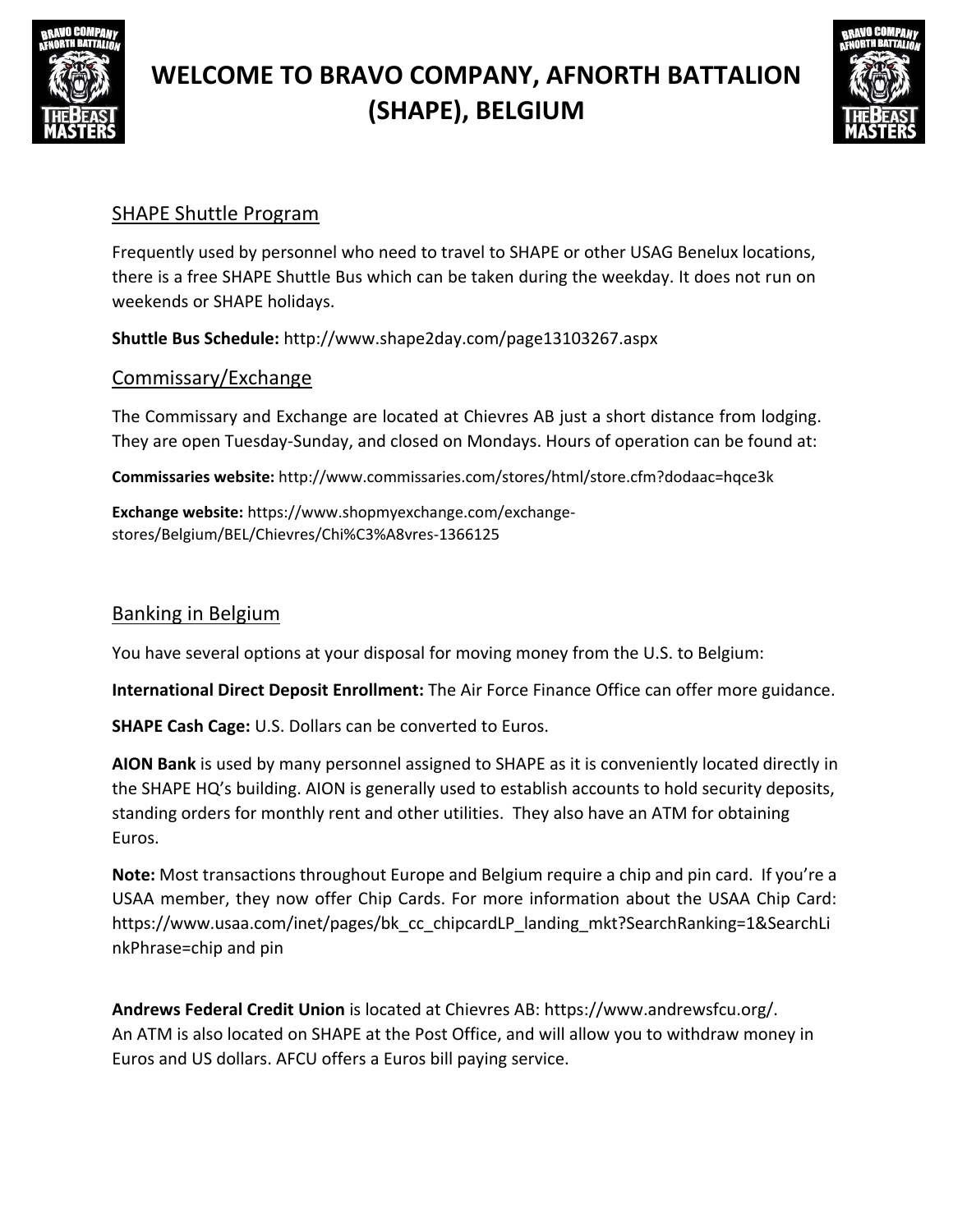



### SHAPE Shuttle Program

Frequently used by personnel who need to travel to SHAPE or other USAG Benelux locations, there is a free SHAPE Shuttle Bus which can be taken during the weekday. It does not run on weekends or SHAPE holidays.

**Shuttle Bus Schedule:** <http://www.shape2day.com/page13103267.aspx>

### Commissary/Exchange

The Commissary and Exchange are located at Chievres AB just a short distance from lodging. They are open Tuesday-Sunday, and closed on Mondays. Hours of operation can be found at:

**Commissaries website:** <http://www.commissaries.com/stores/html/store.cfm?dodaac=hqce3k>

**Exchange website:** https:/[/www.shopmyexchange.com/exchange](http://www.shopmyexchange.com/exchange-)stores/Belgium/BEL/Chievres/Chi%C3%A8vres-1366125

### Banking in Belgium

You have several options at your disposal for moving money from the U.S. to Belgium:

**International Direct Deposit Enrollment:** The Air Force Finance Office can offer more guidance.

**SHAPE Cash Cage:** U.S. Dollars can be converted to Euros.

**AION Bank** is used by many personnel assigned to SHAPE as it is conveniently located directly in the SHAPE HQ's building. AION is generally used to establish accounts to hold security deposits, standing orders for monthly rent and other utilities. They also have an ATM for obtaining Euros.

**Note:** Most transactions throughout Europe and Belgium require a chip and pin card. If you're a USAA member, they now offer Chip Cards. For more information about the USAA Chip Card: https:[//www.usaa.com/inet/pages/bk\\_cc\\_chipcardLP\\_landing\\_mkt?SearchRanking=1&SearchLi](http://www.usaa.com/inet/pages/bk_cc_chipcardLP_landing_mkt?SearchRanking=1&SearchLi) nkPhrase=chip and pin

**Andrews Federal Credit Union** is located at Chievres AB: https[://www.andrewsfcu.org/.](http://www.andrewsfcu.org/) An ATM is also located on SHAPE at the Post Office, and will allow you to withdraw money in Euros and US dollars. AFCU offers a Euros bill paying service.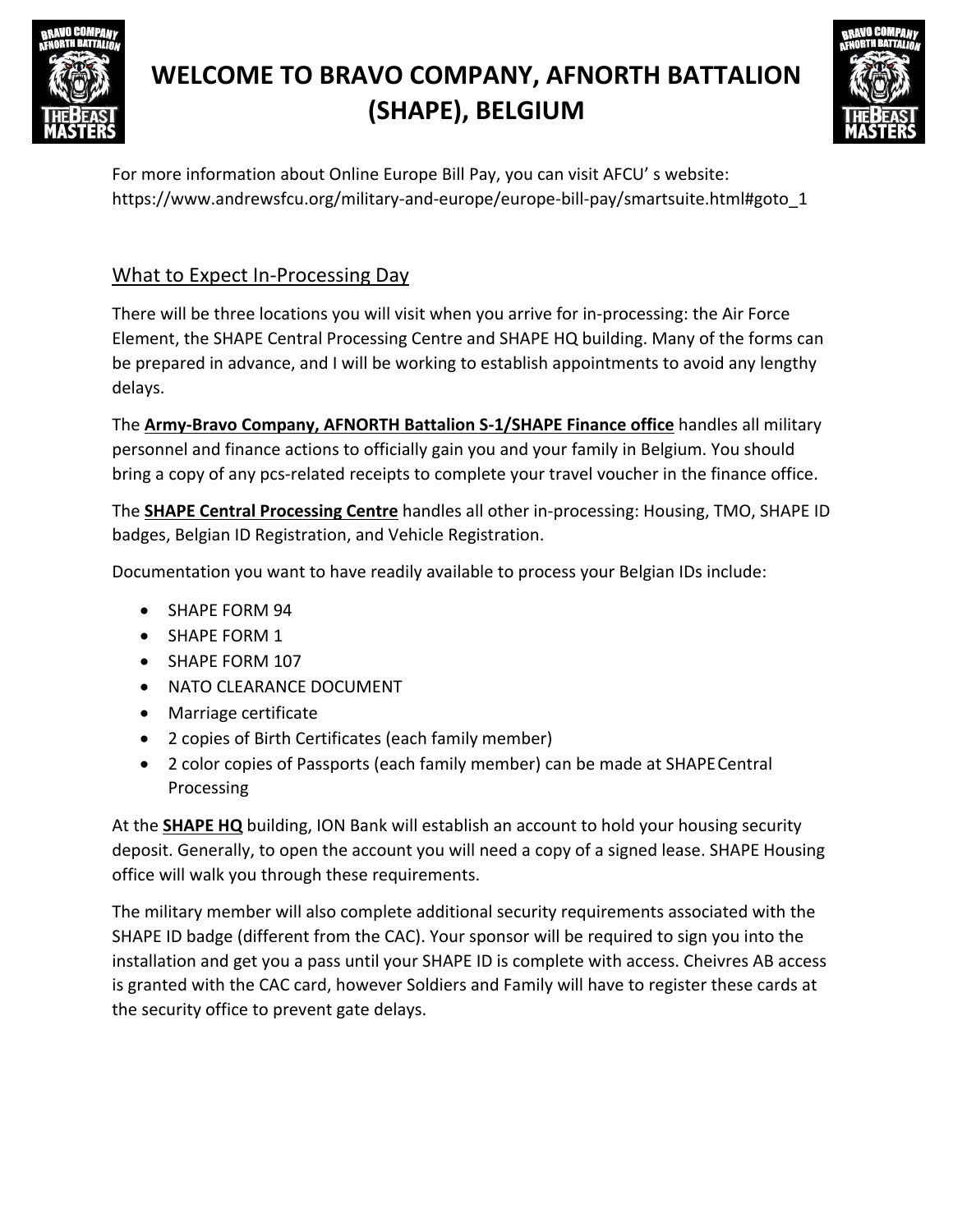



For more information about Online Europe Bill Pay, you can visit AFCU' s website: https:[//www.andrewsfcu.org/military-and-europe/europe-bill-pay/smartsuite.html#goto\\_1](http://www.andrewsfcu.org/military-and-europe/europe-bill-pay/smartsuite.html#goto_1)

### What to Expect In-Processing Day

There will be three locations you will visit when you arrive for in-processing: the Air Force Element, the SHAPE Central Processing Centre and SHAPE HQ building. Many of the forms can be prepared in advance, and I will be working to establish appointments to avoid any lengthy delays.

The **Army-Bravo Company, AFNORTH Battalion S-1/SHAPE Finance office** handles all military personnel and finance actions to officially gain you and your family in Belgium. You should bring a copy of any pcs-related receipts to complete your travel voucher in the finance office.

The **SHAPE Central Processing Centre** handles all other in-processing: Housing, TMO, SHAPE ID badges, Belgian ID Registration, and Vehicle Registration.

Documentation you want to have readily available to process your Belgian IDs include:

- SHAPE FORM 94
- SHAPE FORM 1
- SHAPE FORM 107
- NATO CLEARANCE DOCUMENT
- Marriage certificate
- 2 copies of Birth Certificates (each family member)
- 2 color copies of Passports (each family member) can be made at SHAPECentral Processing

At the **SHAPE HQ** building, ION Bank will establish an account to hold your housing security deposit. Generally, to open the account you will need a copy of a signed lease. SHAPE Housing office will walk you through these requirements.

The military member will also complete additional security requirements associated with the SHAPE ID badge (different from the CAC). Your sponsor will be required to sign you into the installation and get you a pass until your SHAPE ID is complete with access. Cheivres AB access is granted with the CAC card, however Soldiers and Family will have to register these cards at the security office to prevent gate delays.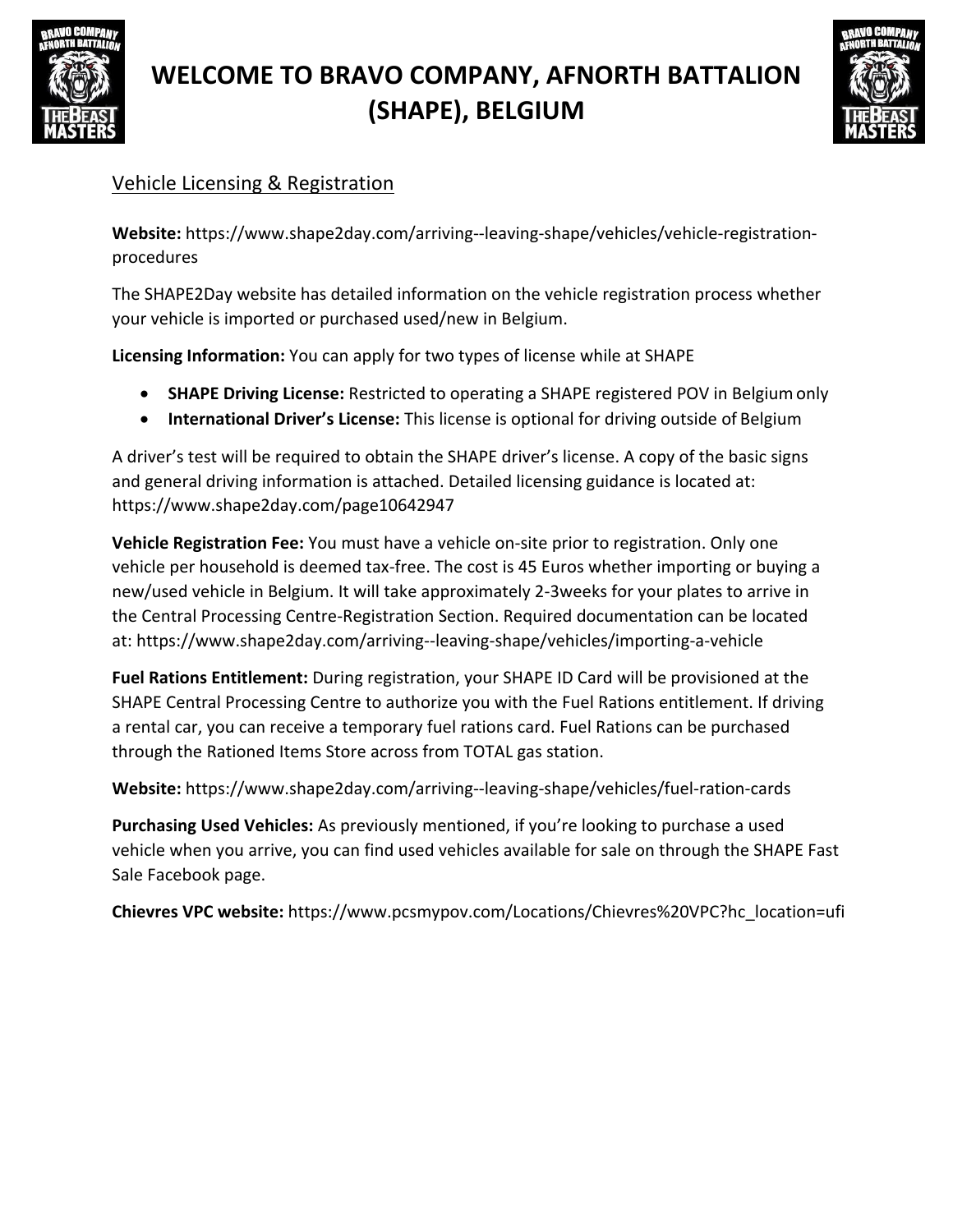



## Vehicle Licensing & Registration

**Website:** https:[//www.shape2day.com/arriving--leaving-shape/vehicles/vehicle-registration](http://www.shape2day.com/arriving--leaving-shape/vehicles/vehicle-registration-)procedures

The SHAPE2Day website has detailed information on the vehicle registration process whether your vehicle is imported or purchased used/new in Belgium.

**Licensing Information:** You can apply for two types of license while at SHAPE

- **SHAPE Driving License:** Restricted to operating a SHAPE registered POV in Belgiumonly
- **International Driver's License:** This license is optional for driving outside of Belgium

A driver's test will be required to obtain the SHAPE driver's license. A copy of the basic signs and general driving information is attached. Detailed licensing guidance is located at: https:[//www.shape2day.com/page10642947](http://www.shape2day.com/page10642947)

**Vehicle Registration Fee:** You must have a vehicle on-site prior to registration. Only one vehicle per household is deemed tax-free. The cost is 45 Euros whether importing or buying a new/used vehicle in Belgium. It will take approximately 2-3weeks for your plates to arrive in the Central Processing Centre-Registration Section. Required documentation can be located at: https[://www.shape2day.com/arriving--leaving-shape/vehicles/importing-a-vehicle](http://www.shape2day.com/arriving--leaving-shape/vehicles/importing-a-vehicle)

**Fuel Rations Entitlement:** During registration, your SHAPE ID Card will be provisioned at the SHAPE Central Processing Centre to authorize you with the Fuel Rations entitlement. If driving a rental car, you can receive a temporary fuel rations card. Fuel Rations can be purchased through the Rationed Items Store across from TOTAL gas station.

**Website:** https:[//www.shape2day.com/arriving--leaving-shape/vehicles/fuel-ration-cards](http://www.shape2day.com/arriving--leaving-shape/vehicles/fuel-ration-cards)

**Purchasing Used Vehicles:** As previously mentioned, if you're looking to purchase a used vehicle when you arrive, you can find used vehicles available for sale on through the SHAPE Fast Sale Facebook page.

**Chievres VPC website:** https:[//www.pcsmypov.com/Locations/Chievres%20VPC?hc\\_location=ufi](http://www.pcsmypov.com/Locations/Chievres%20VPC?hc_location=ufi)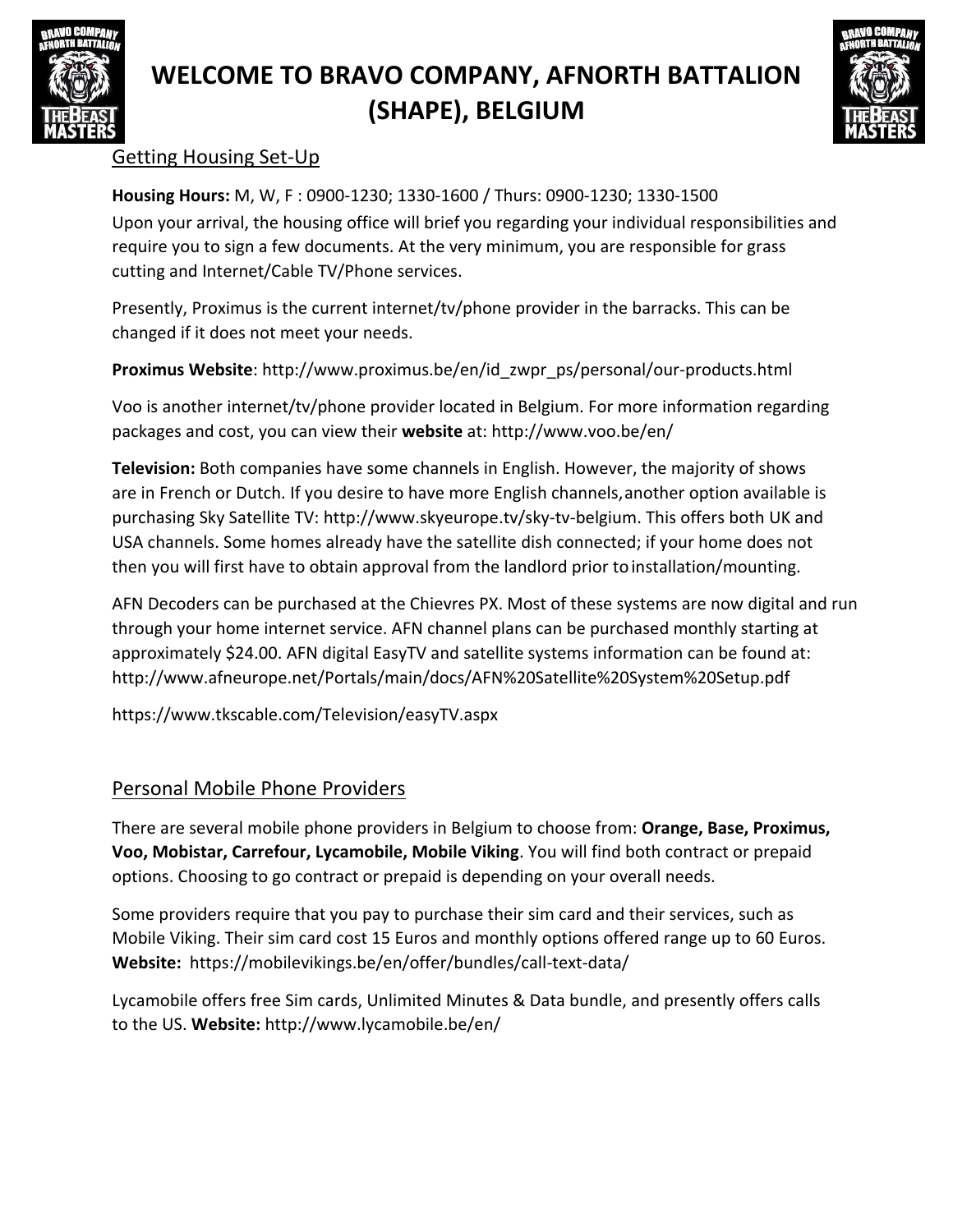



### Getting Housing Set-Up

**Housing Hours:** M, W, F : 0900-1230; 1330-1600 / Thurs: 0900-1230; 1330-1500 Upon your arrival, the housing office will brief you regarding your individual responsibilities and require you to sign a few documents. At the very minimum, you are responsible for grass cutting and Internet/Cable TV/Phone services.

Presently, Proximus is the current internet/tv/phone provider in the barracks. This can be changed if it does not meet your needs.

**Proximus Website**: [http://www.proximus.be/en/id\\_zwpr\\_ps/personal/our-products.html](http://www.proximus.be/en/id_zwpr_ps/personal/our-products.html)

Voo is another internet/tv/phone provider located in Belgium. For more information regarding packages and cost, you can view their **website** at: <http://www.voo.be/en/>

**Television:** Both companies have some channels in English. However, the majority of shows are in French or Dutch. If you desire to have more English channels,another option available is purchasing Sky Satellite TV: [http://www.skyeurope.tv/sky-tv-belgium.](http://www.skyeurope.tv/sky-tv-belgium) This offers both UK and USA channels. Some homes already have the satellite dish connected; if your home does not then you will first have to obtain approval from the landlord prior toinstallation/mounting.

AFN Decoders can be purchased at the Chievres PX. Most of these systems are now digital and run through your home internet service. AFN channel plans can be purchased monthly starting at approximately \$24.00. AFN digital EasyTV and satellite systems information can be found at[:](http://www.afneurope.net/Portals/main/docs/AFN%20Satellite%20System%20Setup.pdf) <http://www.afneurope.net/Portals/main/docs/AFN%20Satellite%20System%20Setup.pdf>

https:[//www.tkscable.com/Television/easyTV.aspx](http://www.tkscable.com/Television/easyTV.aspx)

## Personal Mobile Phone Providers

There are several mobile phone providers in Belgium to choose from: **Orange, Base, Proximus, Voo, Mobistar, Carrefour, Lycamobile, Mobile Viking**. You will find both contract or prepaid options. Choosing to go contract or prepaid is depending on your overall needs.

Some providers require that you pay to purchase their sim card and their services, such as Mobile Viking. Their sim card cost 15 Euros and monthly options offered range up to 60 Euros. **Website:** https://mobilevikings.be/en/offer/bundles/call-text-data/

Lycamobile offers free Sim cards, Unlimited Minutes & Data bundle, and presently offers calls to the US. **Website:** <http://www.lycamobile.be/en/>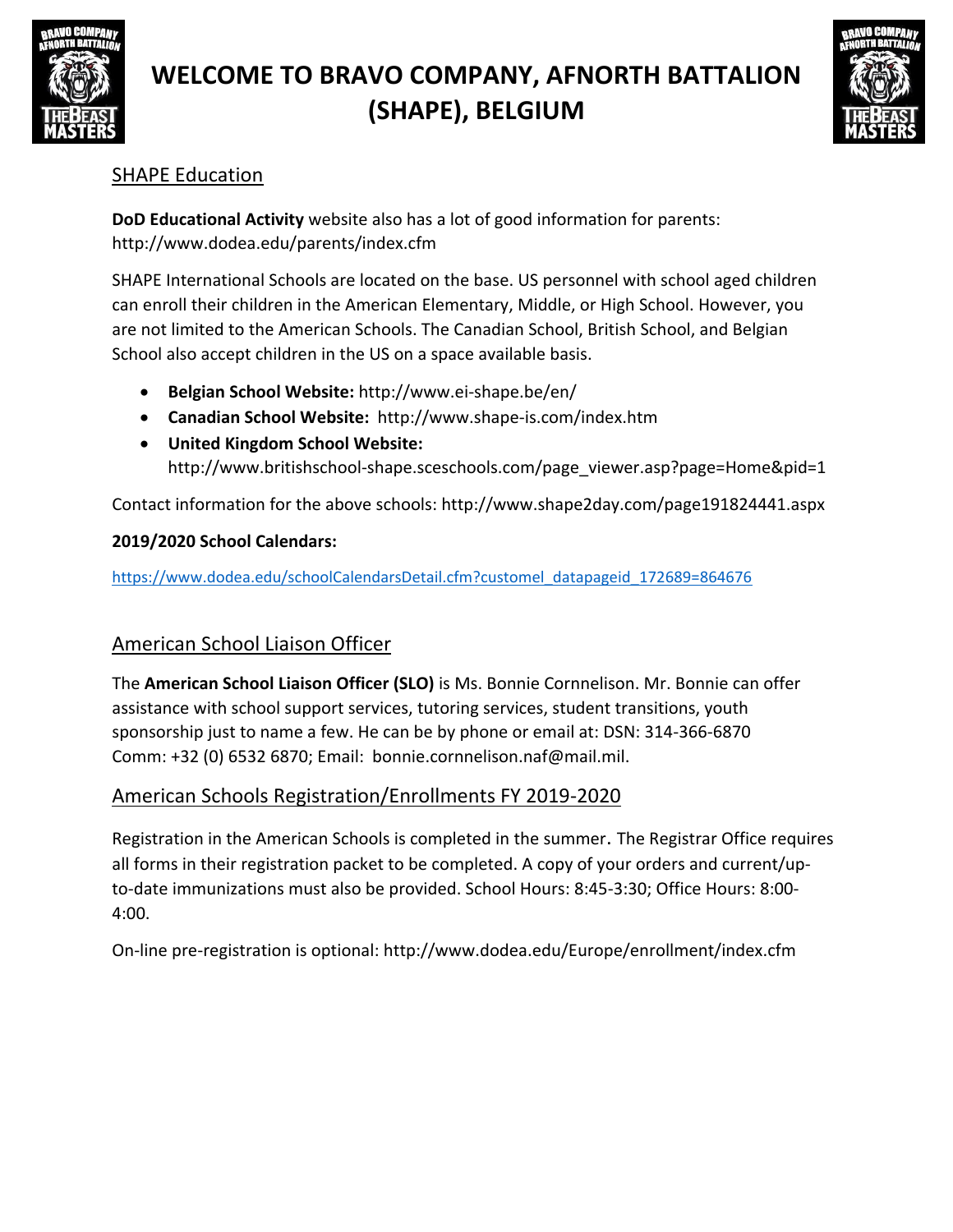



### SHAPE Education

**DoD Educational Activity** website also has a lot of good information for parents[:](http://www.dodea.edu/parents/index.cfm) <http://www.dodea.edu/parents/index.cfm>

SHAPE International Schools are located on the base. US personnel with school aged children can enroll their children in the American Elementary, Middle, or High School. However, you are not limited to the American Schools. The Canadian School, British School, and Belgian School also accept children in the US on a space available basis.

- **Belgian School Website:** <http://www.ei-shape.be/en/>
- **Canadian School Website:** <http://www.shape-is.com/index.htm>
- **United Kingdom School Website:** [http://www.britishschool-shape.sceschools.com/page\\_viewer.asp?page=Home&pid=1](http://www.britishschool-shape.sceschools.com/page_viewer.asp?page=Home&pid=1)

Contact information for the above schools:<http://www.shape2day.com/page191824441.aspx>

#### **2019/2020 School Calendars:**

[https://www.dodea.edu/schoolCalendarsDetail.cfm?customel\\_datapageid\\_172689=864676](https://www.dodea.edu/schoolCalendarsDetail.cfm?customel_datapageid_172689=864676)

### American School Liaison Officer

The **American School Liaison Officer (SLO)** is Ms. Bonnie Cornnelison. Mr. Bonnie can offer assistance with school support services, tutoring services, student transitions, youth sponsorship just to name a few. He can be by phone or email at: DSN: 314-366-6870 Comm: +32 (0) 6532 6870; Email: [bonnie.cornnelison.naf@mail.mil.](mailto:bonnie.cornnelison.naf@mail.mil)

### American Schools Registration/Enrollments FY 2019-2020

Registration in the American Schools is completed in the summer. The Registrar Office requires all forms in their registration packet to be completed. A copy of your orders and current/upto-date immunizations must also be provided. School Hours: 8:45-3:30; Office Hours: 8:00- 4:00.

On-line pre-registration is optional:<http://www.dodea.edu/Europe/enrollment/index.cfm>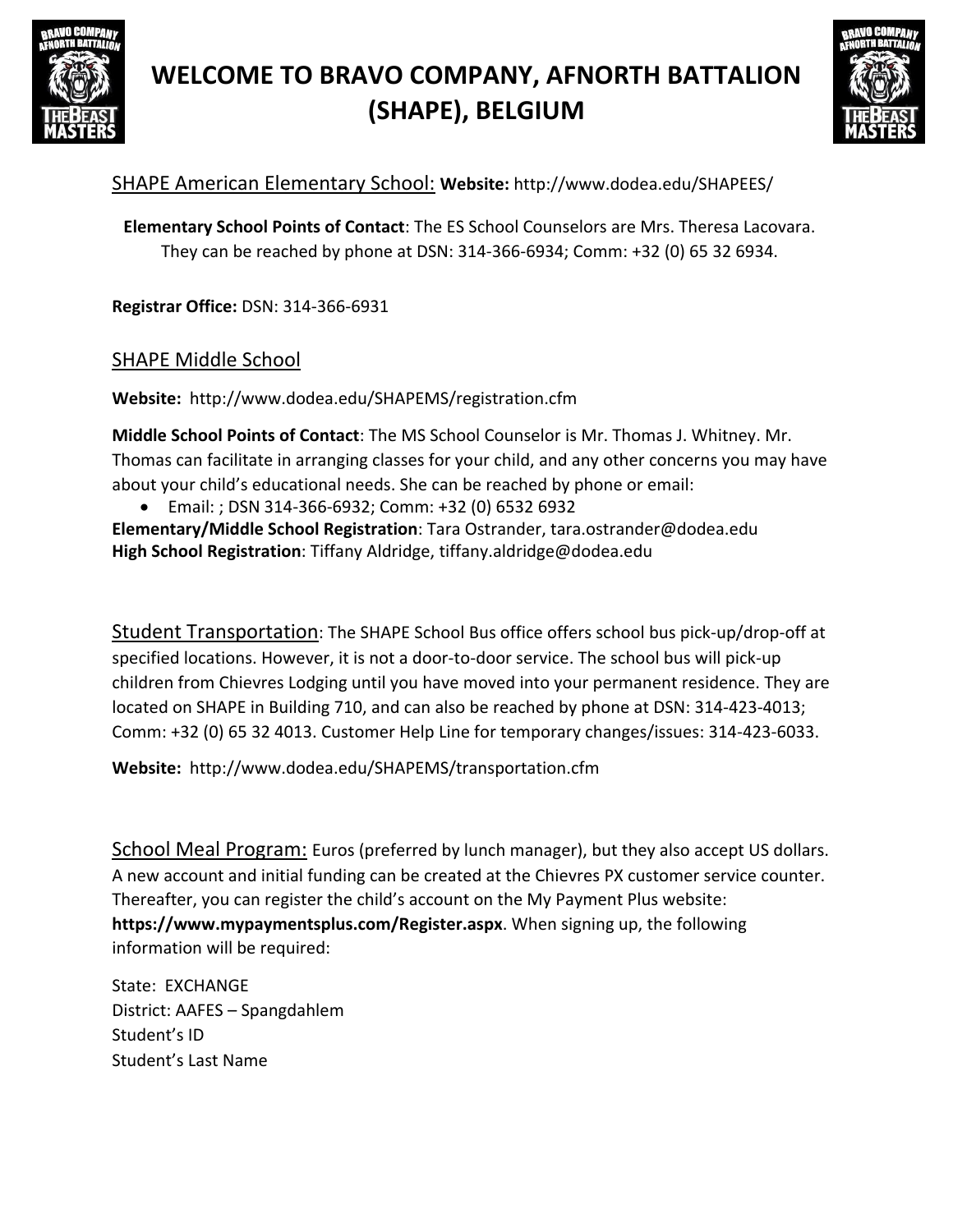



### SHAPE American Elementary School: **Website:** <http://www.dodea.edu/SHAPEES/>

**Elementary School Points of Contact**: The ES School Counselors are Mrs. Theresa Lacovara. They can be reached by phone at DSN: 314-366-6934; Comm: +32 (0) 65 32 6934.

**Registrar Office:** DSN: 314-366-6931

#### SHAPE Middle School

**Website:** <http://www.dodea.edu/SHAPEMS/registration.cfm>

**Middle School Points of Contact**: The MS School Counselor is Mr. Thomas J. Whitney. Mr. Thomas can facilitate in arranging classes for your child, and any other concerns you may have about your child's educational needs. She can be reached by phone or email:

 Email: ; DSN 314-366-6932; Comm: +32 (0) 6532 6932 **Elementary/Middle School Registration**: Tara Ostrander, [tara.ostrander@dodea.edu](mailto:tara.ostrander@dodea.edu) **High School Registration**: Tiffany Aldridge, [tiffany.aldridge@dodea.edu](mailto:tiffany.aldridge@dodea.edu)

Student Transportation: The SHAPE School Bus office offers school bus pick-up/drop-off at specified locations. However, it is not a door-to-door service. The school bus will pick-up children from Chievres Lodging until you have moved into your permanent residence. They are located on SHAPE in Building 710, and can also be reached by phone at DSN: 314-423-4013; Comm: +32 (0) 65 32 4013. Customer Help Line for temporary changes/issues: 314-423-6033.

**Website:** <http://www.dodea.edu/SHAPEMS/transportation.cfm>

School Meal Program: Euros (preferred by lunch manager), but they also accept US dollars. A new account and initial funding can be created at the Chievres PX customer service counter. Thereafter, you can register the child's account on the My Payment Plus website: **[https://www.mypaymentsplus.com/Register.aspx](http://www.mypaymentsplus.com/Register.aspx)**. When signing up, the following information will be required:

State: EXCHANGE District: AAFES – Spangdahlem Student's ID Student's Last Name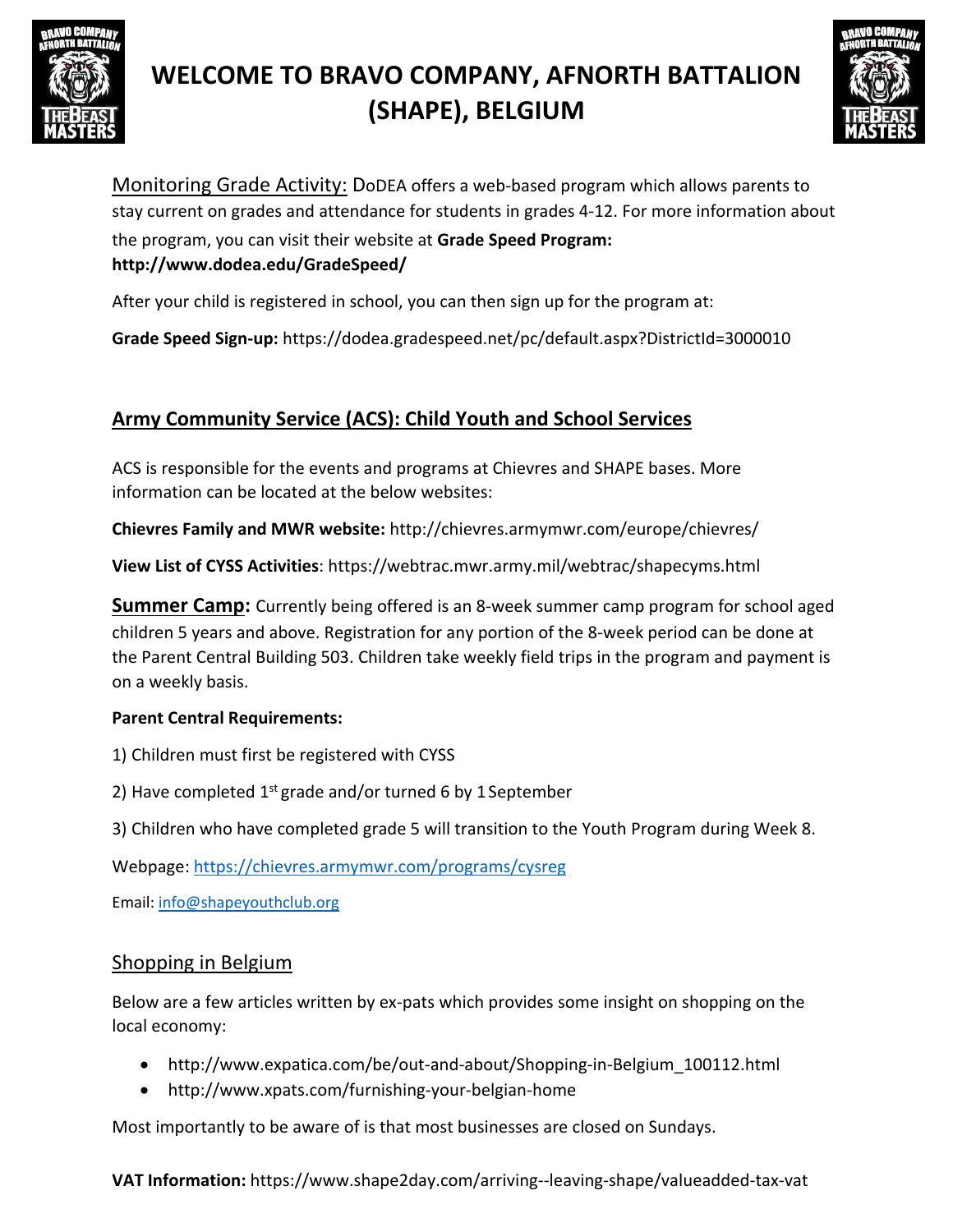



Monitoring Grade Activity: DoDEA offers a web-based program which allows parents to stay current on grades and attendance for students in grades 4-12. For more information about the program, you can visit their website at **Grade Speed Program[:](http://www.dodea.edu/GradeSpeed/) <http://www.dodea.edu/GradeSpeed/>**

After your child is registered in school, you can then sign up for the program at:

**Grade Speed Sign-up:** https://dodea.gradespeed.net/pc/default.aspx?DistrictId=3000010

## **Army Community Service (ACS): Child Youth and School Services**

ACS is responsible for the events and programs at Chievres and SHAPE bases. More information can be located at the below websites:

**Chievres Family and MWR website:** <http://chievres.armymwr.com/europe/chievres/>

**View List of CYSS Activities**: https://webtrac.mwr.army.mil/webtrac/shapecyms.html

**Summer Camp:** Currently being offered is an 8-week summer camp program for school aged children 5 years and above. Registration for any portion of the 8-week period can be done at the Parent Central Building 503. Children take weekly field trips in the program and payment is on a weekly basis.

#### **Parent Central Requirements:**

- 1) Children must first be registered with CYSS
- 2) Have completed  $1^{st}$  grade and/or turned 6 by 1 September
- 3) Children who have completed grade 5 will transition to the Youth Program during Week 8.

Webpage: <https://chievres.armymwr.com/programs/cysreg>

Email: [info@shapeyouthclub.org](mailto:info@shapeyouthclub.org)

#### Shopping in Belgium

Below are a few articles written by ex-pats which provides some insight on shopping on the local economy:

- [http://www.expatica.com/be/out-and-about/Shopping-in-Belgium\\_100112.html](http://www.expatica.com/be/out-and-about/Shopping-in-Belgium_100112.html)
- <http://www.xpats.com/furnishing-your-belgian-home>

Most importantly to be aware of is that most businesses are closed on Sundays.

**VAT Information:** https[://www.shape2day.com/arriving--leaving-shape/valueadded-tax-vat](http://www.shape2day.com/arriving--leaving-shape/valueadded-tax-vat)